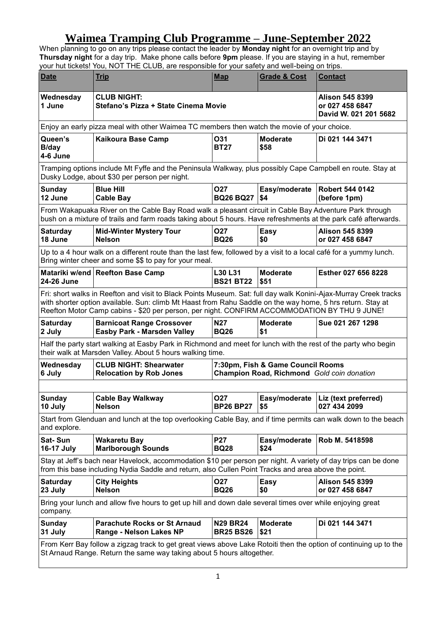## **Waimea Tramping Club Programme – June-September 2022**

When planning to go on any trips please contact the leader by **Monday night** for an overnight trip and by **Thursday night** for a day trip. Make phone calls before **9pm** please. If you are staying in a hut, remember your hut tickets! You, NOT THE CLUB, are responsible for your safety and well-being on trips.

| <b>Date</b>                                                                                                                                                                                                                                                                                                                    | <b>Trip</b>                                                                                                                                                                                                            | <b>Map</b>                          | <b>Grade &amp; Cost</b>           | <b>Contact</b>                                                     |  |  |
|--------------------------------------------------------------------------------------------------------------------------------------------------------------------------------------------------------------------------------------------------------------------------------------------------------------------------------|------------------------------------------------------------------------------------------------------------------------------------------------------------------------------------------------------------------------|-------------------------------------|-----------------------------------|--------------------------------------------------------------------|--|--|
| Wednesday<br>1 June                                                                                                                                                                                                                                                                                                            | <b>CLUB NIGHT:</b><br>Stefano's Pizza + State Cinema Movie                                                                                                                                                             |                                     |                                   | <b>Alison 545 8399</b><br>or 027 458 6847<br>David W. 021 201 5682 |  |  |
|                                                                                                                                                                                                                                                                                                                                | Enjoy an early pizza meal with other Waimea TC members then watch the movie of your choice.                                                                                                                            |                                     |                                   |                                                                    |  |  |
| Queen's<br><b>B/day</b><br>4-6 June                                                                                                                                                                                                                                                                                            | <b>Kaikoura Base Camp</b>                                                                                                                                                                                              | O31<br><b>BT27</b>                  | <b>Moderate</b><br>\$58           | Di 021 144 3471                                                    |  |  |
| Tramping options include Mt Fyffe and the Peninsula Walkway, plus possibly Cape Campbell en route. Stay at<br>Dusky Lodge, about \$30 per person per night.                                                                                                                                                                    |                                                                                                                                                                                                                        |                                     |                                   |                                                                    |  |  |
| <b>Sunday</b><br>12 June                                                                                                                                                                                                                                                                                                       | <b>Blue Hill</b><br><b>Cable Bay</b>                                                                                                                                                                                   | <b>O27</b><br><b>BQ26 BQ27</b>      | Easy/moderate<br>\$4              | <b>Robert 544 0142</b><br>(before 1pm)                             |  |  |
| From Wakapuaka River on the Cable Bay Road walk a pleasant circuit in Cable Bay Adventure Park through<br>bush on a mixture of trails and farm roads taking about 5 hours. Have refreshments at the park café afterwards.                                                                                                      |                                                                                                                                                                                                                        |                                     |                                   |                                                                    |  |  |
| <b>Saturday</b><br>18 June                                                                                                                                                                                                                                                                                                     | <b>Mid-Winter Mystery Tour</b><br><b>Nelson</b>                                                                                                                                                                        | <b>O27</b><br><b>BQ26</b>           | <b>Easy</b><br>\$0                | <b>Alison 545 8399</b><br>or 027 458 6847                          |  |  |
| Up to a 4 hour walk on a different route than the last few, followed by a visit to a local café for a yummy lunch.<br>Bring winter cheer and some \$\$ to pay for your meal.                                                                                                                                                   |                                                                                                                                                                                                                        |                                     |                                   |                                                                    |  |  |
| 24-26 June                                                                                                                                                                                                                                                                                                                     | Matariki w/end Reefton Base Camp                                                                                                                                                                                       | <b>L30 L31</b><br><b>BS21 BT22</b>  | <b>Moderate</b><br>\$51           | Esther 027 656 8228                                                |  |  |
| Fri: short walks in Reefton and visit to Black Points Museum. Sat: full day walk Konini-Ajax-Murray Creek tracks<br>with shorter option available. Sun: climb Mt Haast from Rahu Saddle on the way home, 5 hrs return. Stay at<br>Reefton Motor Camp cabins - \$20 per person, per night. CONFIRM ACCOMMODATION BY THU 9 JUNE! |                                                                                                                                                                                                                        |                                     |                                   |                                                                    |  |  |
| <b>Saturday</b>                                                                                                                                                                                                                                                                                                                | <b>Barnicoat Range Crossover</b>                                                                                                                                                                                       | <b>N27</b>                          | <b>Moderate</b>                   | Sue 021 267 1298                                                   |  |  |
| 2 July                                                                                                                                                                                                                                                                                                                         | <b>Easby Park - Marsden Valley</b>                                                                                                                                                                                     | <b>BQ26</b>                         | \$1                               |                                                                    |  |  |
|                                                                                                                                                                                                                                                                                                                                | Half the party start walking at Easby Park in Richmond and meet for lunch with the rest of the party who begin<br>their walk at Marsden Valley. About 5 hours walking time.                                            |                                     |                                   |                                                                    |  |  |
| Wednesday<br>6 July                                                                                                                                                                                                                                                                                                            | <b>CLUB NIGHT: Shearwater</b><br><b>Relocation by Rob Jones</b>                                                                                                                                                        |                                     | 7:30pm, Fish & Game Council Rooms | Champion Road, Richmond Gold coin donation                         |  |  |
|                                                                                                                                                                                                                                                                                                                                |                                                                                                                                                                                                                        |                                     |                                   |                                                                    |  |  |
| <b>Sunday</b><br>10 July                                                                                                                                                                                                                                                                                                       | <b>Cable Bay Walkway</b><br><b>Nelson</b>                                                                                                                                                                              | O27<br><b>BP26 BP27</b>             | \$5                               | Easy/moderate   Liz (text preferred)<br>027 434 2099               |  |  |
| and explore.                                                                                                                                                                                                                                                                                                                   | Start from Glenduan and lunch at the top overlooking Cable Bay, and if time permits can walk down to the beach                                                                                                         |                                     |                                   |                                                                    |  |  |
| Sat-Sun<br><b>16-17 July</b>                                                                                                                                                                                                                                                                                                   | <b>Wakaretu Bay</b><br><b>Marlborough Sounds</b>                                                                                                                                                                       | <b>P27</b><br><b>BQ28</b>           | Easy/moderate<br>\$24             | Rob M. 5418598                                                     |  |  |
|                                                                                                                                                                                                                                                                                                                                | Stay at Jeff's bach near Havelock, accommodation \$10 per person per night. A variety of day trips can be done<br>from this base including Nydia Saddle and return, also Cullen Point Tracks and area above the point. |                                     |                                   |                                                                    |  |  |
| <b>Saturday</b><br>23 July                                                                                                                                                                                                                                                                                                     | <b>City Heights</b><br><b>Nelson</b>                                                                                                                                                                                   | <b>O27</b><br><b>BQ26</b>           | Easy<br>\$0                       | <b>Alison 545 8399</b><br>or 027 458 6847                          |  |  |
| company.                                                                                                                                                                                                                                                                                                                       | Bring your lunch and allow five hours to get up hill and down dale several times over while enjoying great                                                                                                             |                                     |                                   |                                                                    |  |  |
| <b>Sunday</b><br>31 July                                                                                                                                                                                                                                                                                                       | <b>Parachute Rocks or St Arnaud</b><br>Range - Nelson Lakes NP                                                                                                                                                         | <b>N29 BR24</b><br><b>BR25 BS26</b> | <b>Moderate</b><br>\$21           | Di 021 144 3471                                                    |  |  |